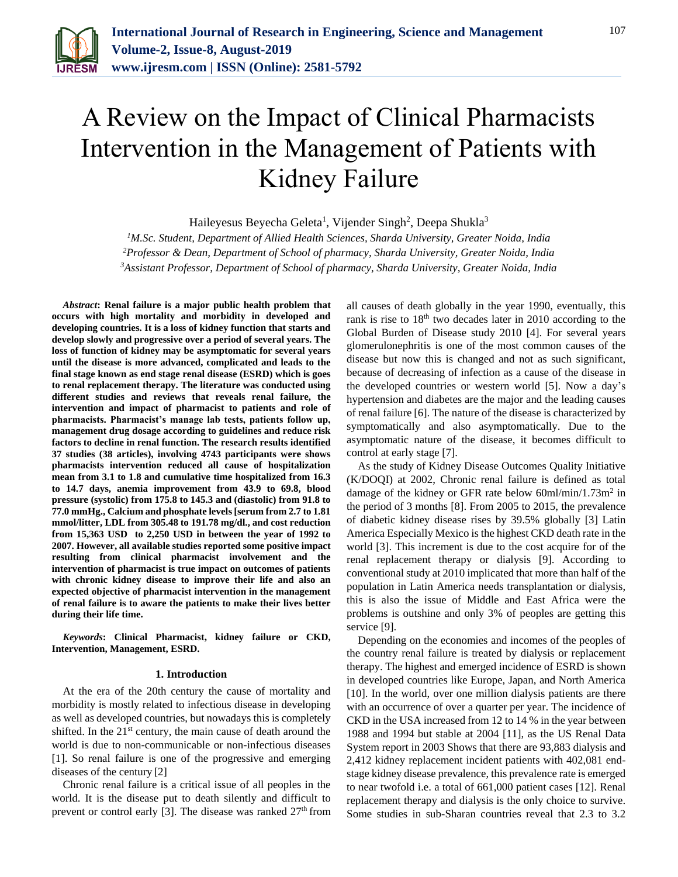

# A Review on the Impact of Clinical Pharmacists Intervention in the Management of Patients with Kidney Failure

Haileyesus Beyecha Geleta<sup>1</sup>, Vijender Singh<sup>2</sup>, Deepa Shukla<sup>3</sup>

*<sup>1</sup>M.Sc. Student, Department of Allied Health Sciences, Sharda University, Greater Noida, India <sup>2</sup>Professor & Dean, Department of School of pharmacy, Sharda University, Greater Noida, India 3Assistant Professor, Department of School of pharmacy, Sharda University, Greater Noida, India*

*Abstract***: Renal failure is a major public health problem that occurs with high mortality and morbidity in developed and developing countries. It is a loss of kidney function that starts and develop slowly and progressive over a period of several years. The loss of function of kidney may be asymptomatic for several years until the disease is more advanced, complicated and leads to the final stage known as end stage renal disease (ESRD) which is goes to renal replacement therapy. The literature was conducted using different studies and reviews that reveals renal failure, the intervention and impact of pharmacist to patients and role of pharmacists. Pharmacist's manage lab tests, patients follow up, management drug dosage according to guidelines and reduce risk factors to decline in renal function. The research results identified 37 studies (38 articles), involving 4743 participants were shows pharmacists intervention reduced all cause of hospitalization mean from 3.1 to 1.8 and cumulative time hospitalized from 16.3 to 14.7 days, anemia improvement from 43.9 to 69.8, blood pressure (systolic) from 175.8 to 145.3 and (diastolic) from 91.8 to 77.0 mmHg., Calcium and phosphate levels [serum from 2.7 to 1.81 mmol/litter, LDL from 305.48 to 191.78 mg/dl., and cost reduction from 15,363 USD to 2,250 USD in between the year of 1992 to 2007. However, all available studies reported some positive impact resulting from clinical pharmacist involvement and the intervention of pharmacist is true impact on outcomes of patients with chronic kidney disease to improve their life and also an expected objective of pharmacist intervention in the management of renal failure is to aware the patients to make their lives better during their life time.**

*Keywords***: Clinical Pharmacist, kidney failure or CKD, Intervention, Management, ESRD.**

## **1. Introduction**

At the era of the 20th century the cause of mortality and morbidity is mostly related to infectious disease in developing as well as developed countries, but nowadays this is completely shifted. In the  $21<sup>st</sup>$  century, the main cause of death around the world is due to non-communicable or non-infectious diseases [1]. So renal failure is one of the progressive and emerging diseases of the century [2]

Chronic renal failure is a critical issue of all peoples in the world. It is the disease put to death silently and difficult to prevent or control early [3]. The disease was ranked  $27<sup>th</sup>$  from all causes of death globally in the year 1990, eventually, this rank is rise to  $18<sup>th</sup>$  two decades later in 2010 according to the Global Burden of Disease study 2010 [4]. For several years glomerulonephritis is one of the most common causes of the disease but now this is changed and not as such significant, because of decreasing of infection as a cause of the disease in the developed countries or western world [5]. Now a day's hypertension and diabetes are the major and the leading causes of renal failure [6]. The nature of the disease is characterized by symptomatically and also asymptomatically. Due to the asymptomatic nature of the disease, it becomes difficult to control at early stage [7].

As the study of Kidney Disease Outcomes Quality Initiative (K/DOQI) at 2002, Chronic renal failure is defined as total damage of the kidney or GFR rate below 60ml/min/1.73m<sup>2</sup> in the period of 3 months [8]. From 2005 to 2015, the prevalence of diabetic kidney disease rises by 39.5% globally [3] Latin America Especially Mexico is the highest CKD death rate in the world [3]. This increment is due to the cost acquire for of the renal replacement therapy or dialysis [9]. According to conventional study at 2010 implicated that more than half of the population in Latin America needs transplantation or dialysis, this is also the issue of Middle and East Africa were the problems is outshine and only 3% of peoples are getting this service [9].

Depending on the economies and incomes of the peoples of the country renal failure is treated by dialysis or replacement therapy. The highest and emerged incidence of ESRD is shown in developed countries like Europe, Japan, and North America [10]. In the world, over one million dialysis patients are there with an occurrence of over a quarter per year. The incidence of CKD in the USA increased from 12 to 14 % in the year between 1988 and 1994 but stable at 2004 [11], as the US Renal Data System report in 2003 Shows that there are 93,883 dialysis and 2,412 kidney replacement incident patients with 402,081 endstage kidney disease prevalence, this prevalence rate is emerged to near twofold i.e. a total of 661,000 patient cases [12]. Renal replacement therapy and dialysis is the only choice to survive. Some studies in sub-Sharan countries reveal that 2.3 to 3.2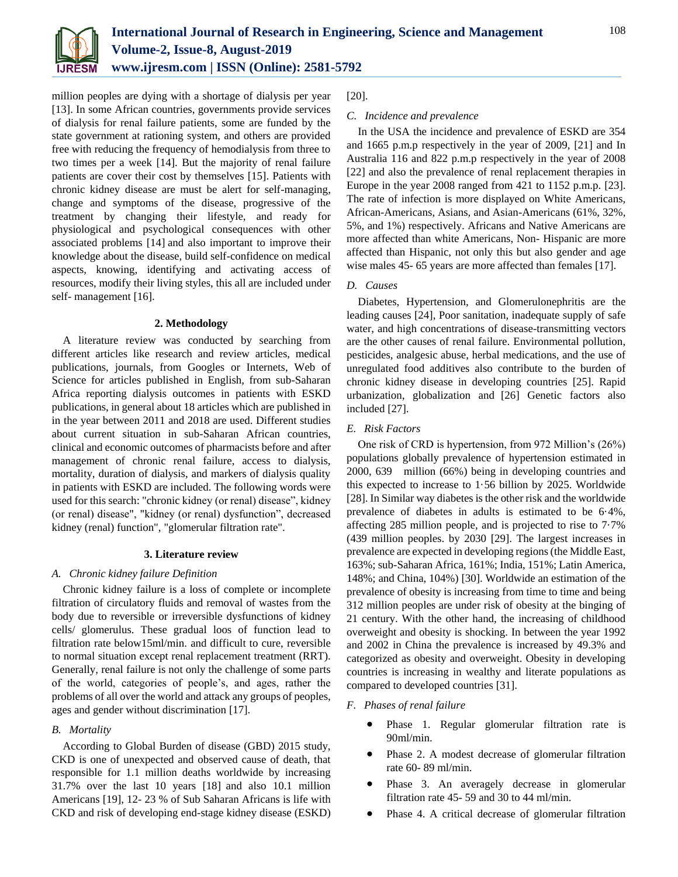

million peoples are dying with a shortage of dialysis per year [13]. In some African countries, governments provide services of dialysis for renal failure patients, some are funded by the state government at rationing system, and others are provided free with reducing the frequency of hemodialysis from three to two times per a week [14]. But the majority of renal failure patients are cover their cost by themselves [15]. Patients with chronic kidney disease are must be alert for self-managing, change and symptoms of the disease, progressive of the treatment by changing their lifestyle, and ready for physiological and psychological consequences with other associated problems [14] and also important to improve their knowledge about the disease, build self-confidence on medical aspects, knowing, identifying and activating access of resources, modify their living styles, this all are included under self- management [16].

#### **2. Methodology**

A literature review was conducted by searching from different articles like research and review articles, medical publications, journals, from Googles or Internets, Web of Science for articles published in English, from sub-Saharan Africa reporting dialysis outcomes in patients with ESKD publications, in general about 18 articles which are published in in the year between 2011 and 2018 are used. Different studies about current situation in sub-Saharan African countries, clinical and economic outcomes of pharmacists before and after management of chronic renal failure, access to dialysis, mortality, duration of dialysis, and markers of dialysis quality in patients with ESKD are included. The following words were used for this search: "chronic kidney (or renal) disease", kidney (or renal) disease", "kidney (or renal) dysfunction", decreased kidney (renal) function", "glomerular filtration rate".

## **3. Literature review**

## *A. Chronic kidney failure Definition*

Chronic kidney failure is a loss of complete or incomplete filtration of circulatory fluids and removal of wastes from the body due to reversible or irreversible dysfunctions of kidney cells/ glomerulus. These gradual loos of function lead to filtration rate below15ml/min. and difficult to cure, reversible to normal situation except renal replacement treatment (RRT). Generally, renal failure is not only the challenge of some parts of the world, categories of people's, and ages, rather the problems of all over the world and attack any groups of peoples, ages and gender without discrimination [17].

## *B. Mortality*

According to Global Burden of disease (GBD) 2015 study, CKD is one of unexpected and observed cause of death, that responsible for 1.1 million deaths worldwide by increasing 31.7% over the last 10 years [18] and also 10.1 million Americans [19], 12- 23 % of Sub Saharan Africans is life with CKD and risk of developing end-stage kidney disease (ESKD) [20].

## *C. Incidence and prevalence*

In the USA the incidence and prevalence of ESKD are 354 and 1665 p.m.p respectively in the year of 2009, [21] and In Australia 116 and 822 p.m.p respectively in the year of 2008 [22] and also the prevalence of renal replacement therapies in Europe in the year 2008 ranged from 421 to 1152 p.m.p. [23]. The rate of infection is more displayed on White Americans, African-Americans, Asians, and Asian-Americans (61%, 32%, 5%, and 1%) respectively. Africans and Native Americans are more affected than white Americans, Non- Hispanic are more affected than Hispanic, not only this but also gender and age wise males 45- 65 years are more affected than females [17].

## *D. Causes*

Diabetes, Hypertension, and Glomerulonephritis are the leading causes [24], Poor sanitation, inadequate supply of safe water, and high concentrations of disease-transmitting vectors are the other causes of renal failure. Environmental pollution, pesticides, analgesic abuse, herbal medications, and the use of unregulated food additives also contribute to the burden of chronic kidney disease in developing countries [25]. Rapid urbanization, globalization and [26] Genetic factors also included [27].

#### *E. Risk Factors*

One risk of CRD is hypertension, from 972 Million's (26%) populations globally prevalence of hypertension estimated in 2000, 639 million (66%) being in developing countries and this expected to increase to 1·56 billion by 2025. Worldwide [28]. In Similar way diabetes is the other risk and the worldwide prevalence of diabetes in adults is estimated to be 6·4%, affecting 285 million people, and is projected to rise to 7·7% (439 million peoples. by 2030 [29]. The largest increases in prevalence are expected in developing regions (the Middle East, 163%; sub-Saharan Africa, 161%; India, 151%; Latin America, 148%; and China, 104%) [30]. Worldwide an estimation of the prevalence of obesity is increasing from time to time and being 312 million peoples are under risk of obesity at the binging of 21 century. With the other hand, the increasing of childhood overweight and obesity is shocking. In between the year 1992 and 2002 in China the prevalence is increased by 49.3% and categorized as obesity and overweight. Obesity in developing countries is increasing in wealthy and literate populations as compared to developed countries [31].

## *F. Phases of renal failure*

- Phase 1. Regular glomerular filtration rate is 90ml/min.
- Phase 2. A modest decrease of glomerular filtration rate 60- 89 ml/min.
- Phase 3. An averagely decrease in glomerular filtration rate 45- 59 and 30 to 44 ml/min.
- Phase 4. A critical decrease of glomerular filtration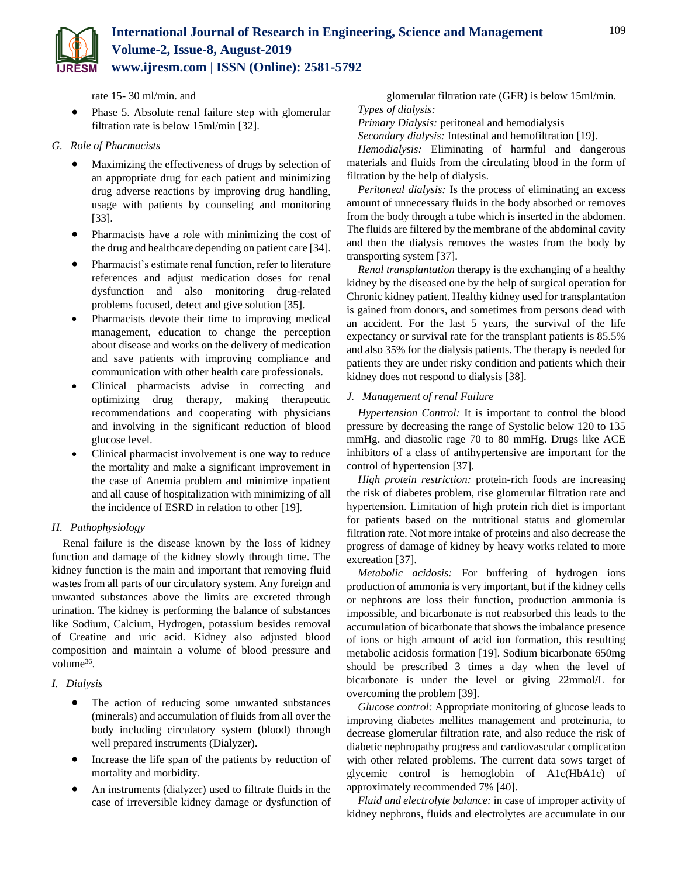

rate 15- 30 ml/min. and

- Phase 5. Absolute renal failure step with glomerular filtration rate is below 15ml/min [32].
- *G. Role of Pharmacists* 
	- Maximizing the effectiveness of drugs by selection of an appropriate drug for each patient and minimizing drug adverse reactions by improving drug handling, usage with patients by counseling and monitoring [33].
	- Pharmacists have a role with minimizing the cost of the drug and healthcare depending on patient care [34].
	- Pharmacist's estimate renal function, refer to literature references and adjust medication doses for renal dysfunction and also monitoring drug-related problems focused, detect and give solution [35].
	- Pharmacists devote their time to improving medical management, education to change the perception about disease and works on the delivery of medication and save patients with improving compliance and communication with other health care professionals.
	- Clinical pharmacists advise in correcting and optimizing drug therapy, making therapeutic recommendations and cooperating with physicians and involving in the significant reduction of blood glucose level.
	- Clinical pharmacist involvement is one way to reduce the mortality and make a significant improvement in the case of Anemia problem and minimize inpatient and all cause of hospitalization with minimizing of all the incidence of ESRD in relation to other [19].

## *H. Pathophysiology*

Renal failure is the disease known by the loss of kidney function and damage of the kidney slowly through time. The kidney function is the main and important that removing fluid wastes from all parts of our circulatory system. Any foreign and unwanted substances above the limits are excreted through urination. The kidney is performing the balance of substances like Sodium, Calcium, Hydrogen, potassium besides removal of Creatine and uric acid. Kidney also adjusted blood composition and maintain a volume of blood pressure and volume<sup>36</sup>.

## *I. Dialysis*

- The action of reducing some unwanted substances (minerals) and accumulation of fluids from all over the body including circulatory system (blood) through well prepared instruments (Dialyzer).
- Increase the life span of the patients by reduction of mortality and morbidity.
- An instruments (dialyzer) used to filtrate fluids in the case of irreversible kidney damage or dysfunction of

glomerular filtration rate (GFR) is below 15ml/min. *Types of dialysis:* 

*Primary Dialysis:* peritoneal and hemodialysis

*Secondary dialysis:* Intestinal and hemofiltration [19].

*Hemodialysis:* Eliminating of harmful and dangerous materials and fluids from the circulating blood in the form of filtration by the help of dialysis.

*Peritoneal dialysis:* Is the process of eliminating an excess amount of unnecessary fluids in the body absorbed or removes from the body through a tube which is inserted in the abdomen. The fluids are filtered by the membrane of the abdominal cavity and then the dialysis removes the wastes from the body by transporting system [37].

*Renal transplantation* therapy is the exchanging of a healthy kidney by the diseased one by the help of surgical operation for Chronic kidney patient. Healthy kidney used for transplantation is gained from donors, and sometimes from persons dead with an accident. For the last 5 years, the survival of the life expectancy or survival rate for the transplant patients is 85.5% and also 35% for the dialysis patients. The therapy is needed for patients they are under risky condition and patients which their kidney does not respond to dialysis [38].

## *J. Management of renal Failure*

*Hypertension Control:* It is important to control the blood pressure by decreasing the range of Systolic below 120 to 135 mmHg. and diastolic rage 70 to 80 mmHg. Drugs like ACE inhibitors of a class of antihypertensive are important for the control of hypertension [37].

*High protein restriction:* protein-rich foods are increasing the risk of diabetes problem, rise glomerular filtration rate and hypertension. Limitation of high protein rich diet is important for patients based on the nutritional status and glomerular filtration rate. Not more intake of proteins and also decrease the progress of damage of kidney by heavy works related to more excreation [37].

*Metabolic acidosis:* For buffering of hydrogen ions production of ammonia is very important, but if the kidney cells or nephrons are loss their function, production ammonia is impossible, and bicarbonate is not reabsorbed this leads to the accumulation of bicarbonate that shows the imbalance presence of ions or high amount of acid ion formation, this resulting metabolic acidosis formation [19]. Sodium bicarbonate 650mg should be prescribed 3 times a day when the level of bicarbonate is under the level or giving 22mmol/L for overcoming the problem [39].

*Glucose control:* Appropriate monitoring of glucose leads to improving diabetes mellites management and proteinuria, to decrease glomerular filtration rate, and also reduce the risk of diabetic nephropathy progress and cardiovascular complication with other related problems. The current data sows target of glycemic control is hemoglobin of A1c(HbA1c) of approximately recommended 7% [40].

*Fluid and electrolyte balance:* in case of improper activity of kidney nephrons, fluids and electrolytes are accumulate in our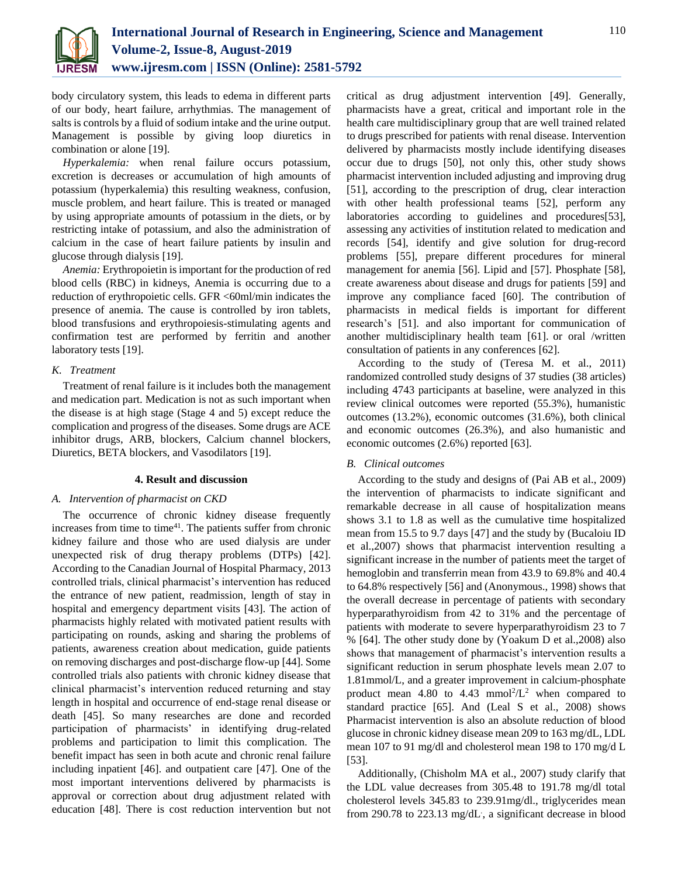

body circulatory system, this leads to edema in different parts of our body, heart failure, arrhythmias. The management of salts is controls by a fluid of sodium intake and the urine output. Management is possible by giving loop diuretics in combination or alone [19].

*Hyperkalemia:* when renal failure occurs potassium, excretion is decreases or accumulation of high amounts of potassium (hyperkalemia) this resulting weakness, confusion, muscle problem, and heart failure. This is treated or managed by using appropriate amounts of potassium in the diets, or by restricting intake of potassium, and also the administration of calcium in the case of heart failure patients by insulin and glucose through dialysis [19].

*Anemia:* Erythropoietin is important for the production of red blood cells (RBC) in kidneys, Anemia is occurring due to a reduction of erythropoietic cells. GFR <60ml/min indicates the presence of anemia. The cause is controlled by iron tablets, blood transfusions and erythropoiesis-stimulating agents and confirmation test are performed by ferritin and another laboratory tests [19].

## *K. Treatment*

Treatment of renal failure is it includes both the management and medication part. Medication is not as such important when the disease is at high stage (Stage 4 and 5) except reduce the complication and progress of the diseases. Some drugs are ACE inhibitor drugs, ARB, blockers, Calcium channel blockers, Diuretics, BETA blockers, and Vasodilators [19].

## **4. Result and discussion**

## *A. Intervention of pharmacist on CKD*

The occurrence of chronic kidney disease frequently increases from time to time $41$ . The patients suffer from chronic kidney failure and those who are used dialysis are under unexpected risk of drug therapy problems (DTPs) [42]. According to the Canadian Journal of Hospital Pharmacy, 2013 controlled trials, clinical pharmacist's intervention has reduced the entrance of new patient, readmission, length of stay in hospital and emergency department visits [43]. The action of pharmacists highly related with motivated patient results with participating on rounds, asking and sharing the problems of patients, awareness creation about medication, guide patients on removing discharges and post-discharge flow-up [44]. Some controlled trials also patients with chronic kidney disease that clinical pharmacist's intervention reduced returning and stay length in hospital and occurrence of end-stage renal disease or death [45]. So many researches are done and recorded participation of pharmacists' in identifying drug-related problems and participation to limit this complication. The benefit impact has seen in both acute and chronic renal failure including inpatient [46]. and outpatient care [47]. One of the most important interventions delivered by pharmacists is approval or correction about drug adjustment related with education [48]. There is cost reduction intervention but not critical as drug adjustment intervention [49]. Generally, pharmacists have a great, critical and important role in the health care multidisciplinary group that are well trained related to drugs prescribed for patients with renal disease. Intervention delivered by pharmacists mostly include identifying diseases occur due to drugs [50], not only this, other study shows pharmacist intervention included adjusting and improving drug [51], according to the prescription of drug, clear interaction with other health professional teams [52], perform any laboratories according to guidelines and procedures [53], assessing any activities of institution related to medication and records [54], identify and give solution for drug-record problems [55], prepare different procedures for mineral management for anemia [56]. Lipid and [57]. Phosphate [58], create awareness about disease and drugs for patients [59] and improve any compliance faced [60]. The contribution of pharmacists in medical fields is important for different research's [51]. and also important for communication of another multidisciplinary health team [61]. or oral /written consultation of patients in any conferences [62].

According to the study of (Teresa M. et al., 2011) randomized controlled study designs of 37 studies (38 articles) including 4743 participants at baseline, were analyzed in this review clinical outcomes were reported (55.3%), humanistic outcomes (13.2%), economic outcomes (31.6%), both clinical and economic outcomes (26.3%), and also humanistic and economic outcomes (2.6%) reported [63].

## *B. Clinical outcomes*

According to the study and designs of (Pai AB et al., 2009) the intervention of pharmacists to indicate significant and remarkable decrease in all cause of hospitalization means shows 3.1 to 1.8 as well as the cumulative time hospitalized mean from 15.5 to 9.7 days [47] and the study by (Bucaloiu ID et al.,2007) shows that pharmacist intervention resulting a significant increase in the number of patients meet the target of hemoglobin and transferrin mean from 43.9 to 69.8% and 40.4 to 64.8% respectively [56] and (Anonymous., 1998) shows that the overall decrease in percentage of patients with secondary hyperparathyroidism from 42 to 31% and the percentage of patients with moderate to severe hyperparathyroidism 23 to 7 % [64]. The other study done by (Yoakum D et al.,2008) also shows that management of pharmacist's intervention results a significant reduction in serum phosphate levels mean 2.07 to 1.81mmol/L, and a greater improvement in calcium-phosphate product mean  $4.80$  to  $4.43$  mmol<sup>2</sup>/ $L^2$  when compared to standard practice [65]. And (Leal S et al., 2008) shows Pharmacist intervention is also an absolute reduction of blood glucose in chronic kidney disease mean 209 to 163 mg/dL, LDL mean 107 to 91 mg/dl and cholesterol mean 198 to 170 mg/d L [53].

Additionally, (Chisholm MA et al., 2007) study clarify that the LDL value decreases from 305.48 to 191.78 mg/dl total cholesterol levels 345.83 to 239.91mg/dl., triglycerides mean from 290.78 to 223.13 mg/dL, a significant decrease in blood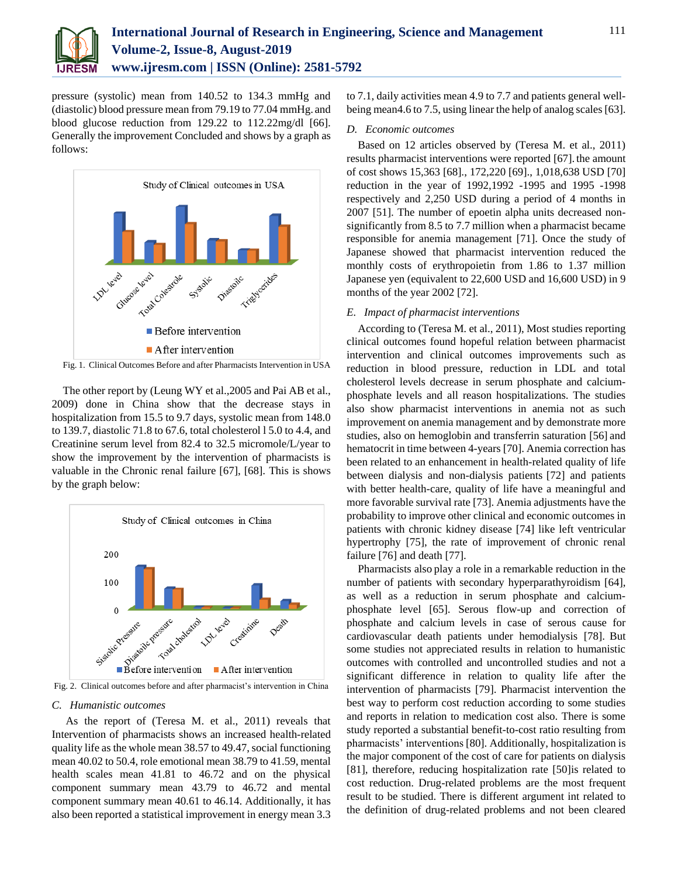

pressure (systolic) mean from 140.52 to 134.3 mmHg and (diastolic) blood pressure mean from 79.19 to 77.04 mmHg. and blood glucose reduction from 129.22 to 112.22mg/dl [66]. Generally the improvement Concluded and shows by a graph as follows:



Fig. 1. Clinical Outcomes Before and after Pharmacists Intervention in USA

The other report by (Leung WY et al.,2005 and Pai AB et al., 2009) done in China show that the decrease stays in hospitalization from 15.5 to 9.7 days, systolic mean from 148.0 to 139.7, diastolic 71.8 to 67.6, total cholesterol l 5.0 to 4.4, and Creatinine serum level from 82.4 to 32.5 micromole/L/year to show the improvement by the intervention of pharmacists is valuable in the Chronic renal failure [67], [68]. This is shows by the graph below:



Fig. 2. Clinical outcomes before and after pharmacist's intervention in China

## *C. Humanistic outcomes*

As the report of (Teresa M. et al., 2011) reveals that Intervention of pharmacists shows an increased health-related quality life as the whole mean 38.57 to 49.47, social functioning mean 40.02 to 50.4, role emotional mean 38.79 to 41.59, mental health scales mean 41.81 to 46.72 and on the physical component summary mean 43.79 to 46.72 and mental component summary mean 40.61 to 46.14. Additionally, it has also been reported a statistical improvement in energy mean 3.3

to 7.1, daily activities mean 4.9 to 7.7 and patients general wellbeing mean4.6 to 7.5, using linear the help of analog scales [63].

## *D. Economic outcomes*

Based on 12 articles observed by (Teresa M. et al., 2011) results pharmacist interventions were reported [67]. the amount of cost shows 15,363 [68]., 172,220 [69]., 1,018,638 USD [70] reduction in the year of 1992,1992 -1995 and 1995 -1998 respectively and 2,250 USD during a period of 4 months in 2007 [51]. The number of epoetin alpha units decreased nonsignificantly from 8.5 to 7.7 million when a pharmacist became responsible for anemia management [71]. Once the study of Japanese showed that pharmacist intervention reduced the monthly costs of erythropoietin from 1.86 to 1.37 million Japanese yen (equivalent to 22,600 USD and 16,600 USD) in 9 months of the year 2002 [72].

## *E. Impact of pharmacist interventions*

According to (Teresa M. et al., 2011), Most studies reporting clinical outcomes found hopeful relation between pharmacist intervention and clinical outcomes improvements such as reduction in blood pressure, reduction in LDL and total cholesterol levels decrease in serum phosphate and calciumphosphate levels and all reason hospitalizations. The studies also show pharmacist interventions in anemia not as such improvement on anemia management and by demonstrate more studies, also on hemoglobin and transferrin saturation [56] and hematocrit in time between 4-years [70]. Anemia correction has been related to an enhancement in health-related quality of life between dialysis and non-dialysis patients [72] and patients with better health-care, quality of life have a meaningful and more favorable survival rate [73]. Anemia adjustments have the probability to improve other clinical and economic outcomes in patients with chronic kidney disease [74] like left ventricular hypertrophy [75], the rate of improvement of chronic renal failure [76] and death [77].

Pharmacists also play a role in a remarkable reduction in the number of patients with secondary hyperparathyroidism [64], as well as a reduction in serum phosphate and calciumphosphate level [65]. Serous flow-up and correction of phosphate and calcium levels in case of serous cause for cardiovascular death patients under hemodialysis [78]. But some studies not appreciated results in relation to humanistic outcomes with controlled and uncontrolled studies and not a significant difference in relation to quality life after the intervention of pharmacists [79]. Pharmacist intervention the best way to perform cost reduction according to some studies and reports in relation to medication cost also. There is some study reported a substantial benefit-to-cost ratio resulting from pharmacists' interventions [80]. Additionally, hospitalization is the major component of the cost of care for patients on dialysis [81], therefore, reducing hospitalization rate [50]is related to cost reduction. Drug-related problems are the most frequent result to be studied. There is different argument int related to the definition of drug-related problems and not been cleared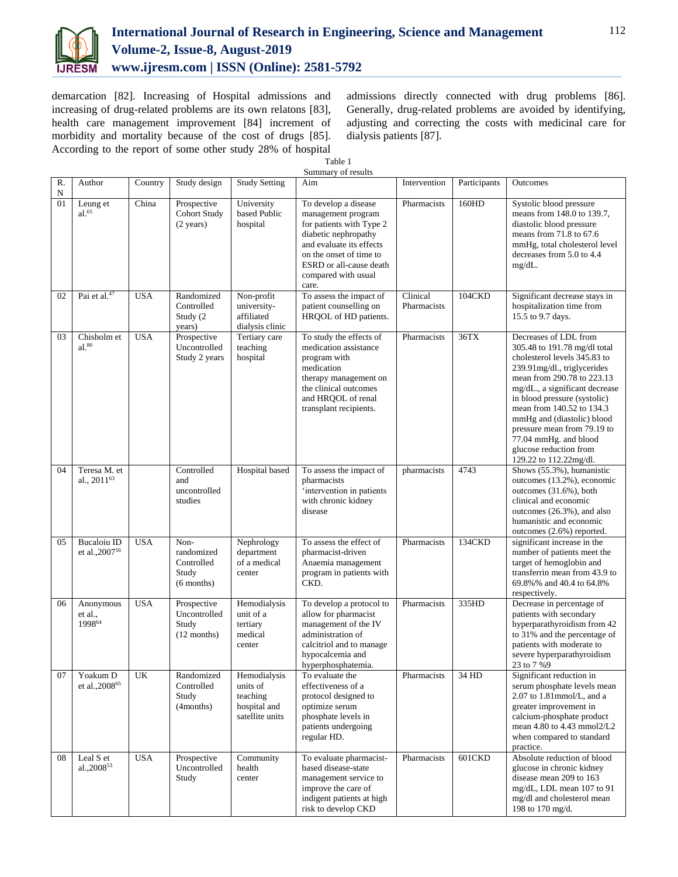

demarcation [82]. Increasing of Hospital admissions and increasing of drug-related problems are its own relatons [83], health care management improvement [84] increment of morbidity and mortality because of the cost of drugs [85]. According to the report of some other study 28% of hospital admissions directly connected with drug problems [86]. Generally, drug-related problems are avoided by identifying, adjusting and correcting the costs with medicinal care for dialysis patients [87].

Table 1

|                 |                                                  |            |                                                           |                                                                         | Summary of results                                                                                                                                                                                               |                         |              |                                                                                                                                                                                                                                                                                                                                                                                             |
|-----------------|--------------------------------------------------|------------|-----------------------------------------------------------|-------------------------------------------------------------------------|------------------------------------------------------------------------------------------------------------------------------------------------------------------------------------------------------------------|-------------------------|--------------|---------------------------------------------------------------------------------------------------------------------------------------------------------------------------------------------------------------------------------------------------------------------------------------------------------------------------------------------------------------------------------------------|
| R.<br>${\bf N}$ | Author                                           | Country    | Study design                                              | <b>Study Setting</b>                                                    | Aim                                                                                                                                                                                                              | Intervention            | Participants | Outcomes                                                                                                                                                                                                                                                                                                                                                                                    |
| 01              | Leung et<br>$al.^{65}$                           | China      | Prospective<br><b>Cohort Study</b><br>$(2 \text{ years})$ | University<br>based Public<br>hospital                                  | To develop a disease<br>management program<br>for patients with Type 2<br>diabetic nephropathy<br>and evaluate its effects<br>on the onset of time to<br>ESRD or all-cause death<br>compared with usual<br>care. | Pharmacists             | 160HD        | Systolic blood pressure<br>means from 148.0 to 139.7,<br>diastolic blood pressure<br>means from 71.8 to 67.6<br>mmHg, total cholesterol level<br>decreases from 5.0 to 4.4<br>$mg/dL$ .                                                                                                                                                                                                     |
| 02              | Pai et al. <sup>47</sup>                         | <b>USA</b> | Randomized<br>Controlled<br>Study (2<br>years)            | Non-profit<br>university-<br>affiliated<br>dialysis clinic              | To assess the impact of<br>patient counselling on<br>HRQOL of HD patients.                                                                                                                                       | Clinical<br>Pharmacists | 104CKD       | Significant decrease stays in<br>hospitalization time from<br>15.5 to 9.7 days.                                                                                                                                                                                                                                                                                                             |
| 03              | Chisholm et<br>$al.^{80}$                        | <b>USA</b> | Prospective<br>Uncontrolled<br>Study 2 years              | Tertiary care<br>teaching<br>hospital                                   | To study the effects of<br>medication assistance<br>program with<br>medication<br>therapy management on<br>the clinical outcomes<br>and HROOL of renal<br>transplant recipients.                                 | Pharmacists             | 36TX         | Decreases of LDL from<br>305.48 to 191.78 mg/dl total<br>cholesterol levels 345.83 to<br>239.91mg/dl., triglycerides<br>mean from 290.78 to 223.13<br>mg/dL., a significant decrease<br>in blood pressure (systolic)<br>mean from 140.52 to 134.3<br>mmHg and (diastolic) blood<br>pressure mean from 79.19 to<br>77.04 mmHg. and blood<br>glucose reduction from<br>129.22 to 112.22mg/dl. |
| 04              | Teresa M. et<br>al., $2011^{63}$                 |            | Controlled<br>and<br>uncontrolled<br>studies              | Hospital based                                                          | To assess the impact of<br>pharmacists<br>'intervention in patients<br>with chronic kidney<br>disease                                                                                                            | pharmacists             | 4743         | Shows (55.3%), humanistic<br>outcomes (13.2%), economic<br>outcomes (31.6%), both<br>clinical and economic<br>outcomes (26.3%), and also<br>humanistic and economic<br>outcomes (2.6%) reported.                                                                                                                                                                                            |
| 05              | <b>Bucaloiu</b> ID<br>et al., 2007 <sup>56</sup> | <b>USA</b> | Non-<br>randomized<br>Controlled<br>Study<br>$(6$ months) | Nephrology<br>department<br>of a medical<br>center                      | To assess the effect of<br>pharmacist-driven<br>Anaemia management<br>program in patients with<br>CKD.                                                                                                           | Pharmacists             | 134CKD       | significant increase in the<br>number of patients meet the<br>target of hemoglobin and<br>transferrin mean from 43.9 to<br>69.8%% and 40.4 to 64.8%<br>respectively.                                                                                                                                                                                                                        |
| 06              | Anonymous<br>et al.,<br>199864                   | <b>USA</b> | Prospective<br>Uncontrolled<br>Study<br>$(12$ months)     | Hemodialysis<br>unit of a<br>tertiary<br>medical<br>center              | To develop a protocol to<br>allow for pharmacist<br>management of the IV<br>administration of<br>calcitriol and to manage<br>hypocalcemia and<br>hyperphosphatemia.                                              | Pharmacists             | 335HD        | Decrease in percentage of<br>patients with secondary<br>hyperparathyroidism from 42<br>to 31% and the percentage of<br>patients with moderate to<br>severe hyperparathyroidism<br>23 to 7 %9                                                                                                                                                                                                |
| 07              | Yoakum D<br>et al., 2008 <sup>65</sup>           | UK         | Randomized<br>Controlled<br>Study<br>(4 months)           | Hemodialysis<br>units of<br>teaching<br>hospital and<br>satellite units | To evaluate the<br>effectiveness of a<br>protocol designed to<br>optimize serum<br>phosphate levels in<br>patients undergoing<br>regular HD.                                                                     | Pharmacists             | 34 HD        | Significant reduction in<br>serum phosphate levels mean<br>2.07 to 1.81mmol/L, and a<br>greater improvement in<br>calcium-phosphate product<br>mean 4.80 to 4.43 mmol2/L2<br>when compared to standard<br>practice.                                                                                                                                                                         |
| 08              | Leal S et<br>al.,2008 <sup>53</sup>              | <b>USA</b> | Prospective<br>Uncontrolled<br>Study                      | Community<br>health<br>center                                           | To evaluate pharmacist-<br>based disease-state<br>management service to<br>improve the care of<br>indigent patients at high<br>risk to develop CKD                                                               | Pharmacists             | 601CKD       | Absolute reduction of blood<br>glucose in chronic kidney<br>disease mean 209 to 163<br>mg/dL, LDL mean 107 to 91<br>mg/dl and cholesterol mean<br>198 to 170 mg/d.                                                                                                                                                                                                                          |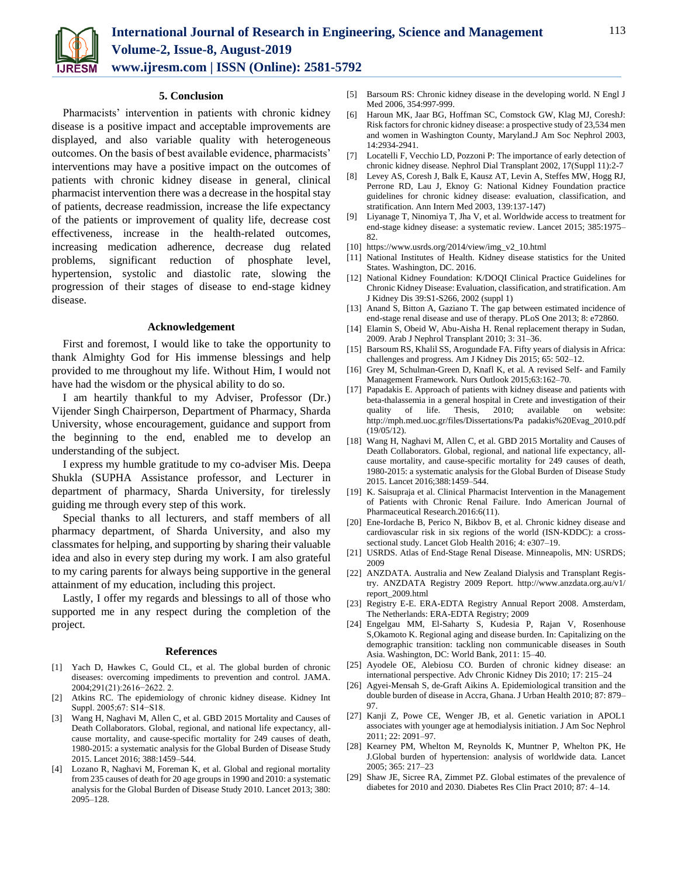

**5. Conclusion**

Pharmacists' intervention in patients with chronic kidney disease is a positive impact and acceptable improvements are displayed, and also variable quality with heterogeneous outcomes. On the basis of best available evidence, pharmacists' interventions may have a positive impact on the outcomes of patients with chronic kidney disease in general, clinical pharmacist intervention there was a decrease in the hospital stay of patients, decrease readmission, increase the life expectancy of the patients or improvement of quality life, decrease cost effectiveness, increase in the health-related outcomes, increasing medication adherence, decrease dug related problems, significant reduction of phosphate level, hypertension, systolic and diastolic rate, slowing the progression of their stages of disease to end-stage kidney disease.

## **Acknowledgement**

First and foremost, I would like to take the opportunity to thank Almighty God for His immense blessings and help provided to me throughout my life. Without Him, I would not have had the wisdom or the physical ability to do so.

I am heartily thankful to my Adviser, Professor (Dr.) Vijender Singh Chairperson, Department of Pharmacy, Sharda University, whose encouragement, guidance and support from the beginning to the end, enabled me to develop an understanding of the subject.

I express my humble gratitude to my co-adviser Mis. Deepa Shukla (SUPHA Assistance professor, and Lecturer in department of pharmacy, Sharda University, for tirelessly guiding me through every step of this work.

Special thanks to all lecturers, and staff members of all pharmacy department, of Sharda University, and also my classmates for helping, and supporting by sharing their valuable idea and also in every step during my work. I am also grateful to my caring parents for always being supportive in the general attainment of my education, including this project.

Lastly, I offer my regards and blessings to all of those who supported me in any respect during the completion of the project.

#### **References**

- [1] Yach D, Hawkes C, Gould CL, et al. The global burden of chronic diseases: overcoming impediments to prevention and control. JAMA. 2004;291(21):2616−2622. 2.
- [2] Atkins RC. The epidemiology of chronic kidney disease. Kidney Int Suppl. 2005;67: S14−S18.
- [3] Wang H, Naghavi M, Allen C, et al. GBD 2015 Mortality and Causes of Death Collaborators. Global, regional, and national life expectancy, allcause mortality, and cause-specific mortality for 249 causes of death, 1980-2015: a systematic analysis for the Global Burden of Disease Study 2015. Lancet 2016; 388:1459–544.
- [4] Lozano R, Naghavi M, Foreman K, et al. Global and regional mortality from 235 causes of death for 20 age groups in 1990 and 2010: a systematic analysis for the Global Burden of Disease Study 2010. Lancet 2013; 380: 2095–128.
- [5] Barsoum RS: Chronic kidney disease in the developing world. N Engl J Med 2006, 354:997-999.
- [6] Haroun MK, Jaar BG, Hoffman SC, Comstock GW, Klag MJ, CoreshJ: Risk factors for chronic kidney disease: a prospective study of 23,534 men and women in Washington County, Maryland.J Am Soc Nephrol 2003, 14:2934-2941.
- [7] Locatelli F, Vecchio LD, Pozzoni P: The importance of early detection of chronic kidney disease. Nephrol Dial Transplant 2002, 17(Suppl 11):2-7
- [8] Levey AS, Coresh J, Balk E, Kausz AT, Levin A, Steffes MW, Hogg RJ, Perrone RD, Lau J, Eknoy G: National Kidney Foundation practice guidelines for chronic kidney disease: evaluation, classification, and stratification. Ann Intern Med 2003, 139:137-147)
- [9] Liyanage T, Ninomiya T, Jha V, et al. Worldwide access to treatment for end-stage kidney disease: a systematic review. Lancet 2015; 385:1975– 82.
- [10] https://www.usrds.org/2014/view/img\_v2\_10.html
- [11] National Institutes of Health. Kidney disease statistics for the United States. Washington, DC. 2016.
- [12] National Kidney Foundation: K/DOQI Clinical Practice Guidelines for Chronic Kidney Disease: Evaluation, classification, and stratification. Am J Kidney Dis 39:S1-S266, 2002 (suppl 1)
- [13] Anand S, Bitton A, Gaziano T. The gap between estimated incidence of end-stage renal disease and use of therapy. PLoS One 2013; 8: e72860.
- [14] Elamin S, Obeid W, Abu-Aisha H. Renal replacement therapy in Sudan, 2009. Arab J Nephrol Transplant 2010; 3: 31–36.
- [15] Barsoum RS, Khalil SS, Arogundade FA. Fifty years of dialysis in Africa: challenges and progress. Am J Kidney Dis 2015; 65: 502–12.
- [16] Grey M, Schulman-Green D, Knafl K, et al. A revised Self- and Family Management Framework. Nurs Outlook 2015;63:162–70.
- [17] Papadakis E. Approach of patients with kidney disease and patients with beta-thalassemia in a general hospital in Crete and investigation of their quality of life. Thesis, 2010; available on website: http://mph.med.uoc.gr/files/Dissertations/Pa padakis%20Evag\_2010.pdf  $(19/05/12)$ .
- [18] Wang H, Naghavi M, Allen C, et al. GBD 2015 Mortality and Causes of Death Collaborators. Global, regional, and national life expectancy, allcause mortality, and cause-specific mortality for 249 causes of death, 1980-2015: a systematic analysis for the Global Burden of Disease Study 2015. Lancet 2016;388:1459–544.
- [19] K. Saisupraja et al. Clinical Pharmacist Intervention in the Management of Patients with Chronic Renal Failure. Indo American Journal of Pharmaceutical Research.2016:6(11).
- [20] Ene-Iordache B, Perico N, Bikbov B, et al. Chronic kidney disease and cardiovascular risk in six regions of the world (ISN-KDDC): a crosssectional study. Lancet Glob Health 2016; 4: e307–19.
- [21] USRDS. Atlas of End-Stage Renal Disease. Minneapolis, MN: USRDS; 2009
- [22] ANZDATA. Australia and New Zealand Dialysis and Transplant Registry. ANZDATA Registry 2009 Report. http://www.anzdata.org.au/v1/ report\_2009.html
- [23] Registry E-E. ERA-EDTA Registry Annual Report 2008. Amsterdam, The Netherlands: ERA-EDTA Registry; 2009
- [24] Engelgau MM, El-Saharty S, Kudesia P, Rajan V, Rosenhouse S,Okamoto K. Regional aging and disease burden. In: Capitalizing on the demographic transition: tackling non communicable diseases in South Asia. Washington, DC: World Bank, 2011: 15–40.
- [25] Ayodele OE, Alebiosu CO. Burden of chronic kidney disease: an international perspective. Adv Chronic Kidney Dis 2010; 17: 215–24
- [26] Agyei-Mensah S, de-Graft Aikins A. Epidemiological transition and the double burden of disease in Accra, Ghana. J Urban Health 2010; 87: 879– 97.
- [27] Kanji Z, Powe CE, Wenger JB, et al. Genetic variation in APOL1 associates with younger age at hemodialysis initiation. J Am Soc Nephrol 2011; 22: 2091–97.
- [28] Kearney PM, Whelton M, Reynolds K, Muntner P, Whelton PK, He J.Global burden of hypertension: analysis of worldwide data. Lancet 2005; 365: 217–23
- [29] Shaw JE, Sicree RA, Zimmet PZ. Global estimates of the prevalence of diabetes for 2010 and 2030. Diabetes Res Clin Pract 2010; 87: 4–14.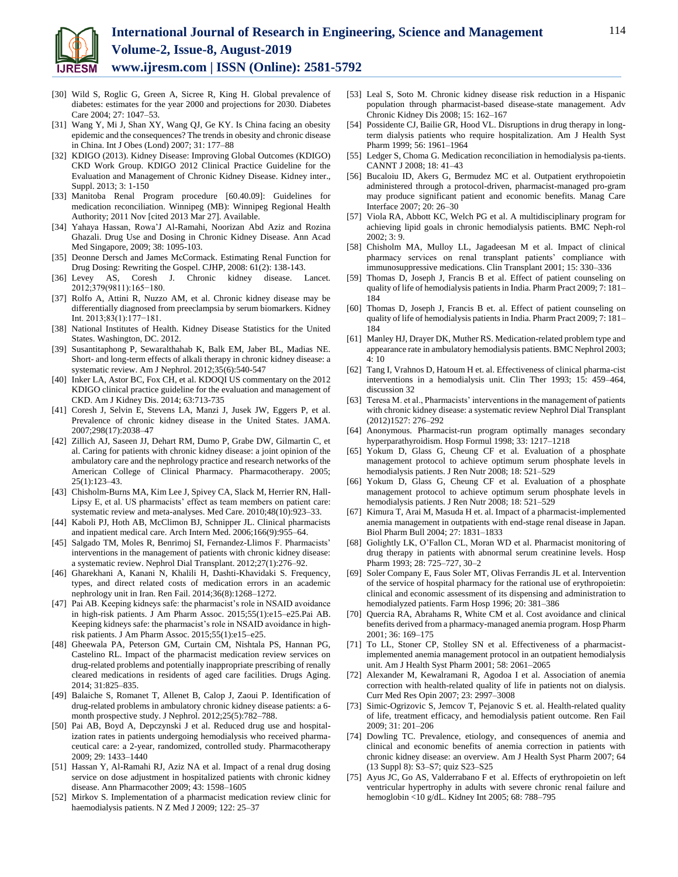

- [30] Wild S, Roglic G, Green A, Sicree R, King H. Global prevalence of diabetes: estimates for the year 2000 and projections for 2030. Diabetes Care 2004; 27: 1047–53.
- [31] Wang Y, Mi J, Shan XY, Wang QJ, Ge KY. Is China facing an obesity epidemic and the consequences? The trends in obesity and chronic disease in China. Int J Obes (Lond) 2007; 31: 177–88
- [32] KDIGO (2013). Kidney Disease: Improving Global Outcomes (KDIGO) CKD Work Group. KDIGO 2012 Clinical Practice Guideline for the Evaluation and Management of Chronic Kidney Disease. Kidney inter., Suppl. 2013; 3: 1-150
- [33] Manitoba Renal Program procedure [60.40.09]: Guidelines for medication reconciliation. Winnipeg (MB): Winnipeg Regional Health Authority; 2011 Nov [cited 2013 Mar 27]. Available.
- [34] Yahaya Hassan, Rowa'J Al-Ramahi, Noorizan Abd Aziz and Rozina Ghazali. Drug Use and Dosing in Chronic Kidney Disease. Ann Acad Med Singapore, 2009; 38: 1095-103.
- [35] Deonne Dersch and James McCormack. Estimating Renal Function for Drug Dosing: Rewriting the Gospel. CJHP, 2008: 61(2): 138-143.
- [36] Levey AS, Coresh J. Chronic kidney disease. Lancet. 2012;379(9811):165−180.
- [37] Rolfo A, Attini R, Nuzzo AM, et al. Chronic kidney disease may be differentially diagnosed from preeclampsia by serum biomarkers. Kidney Int. 2013;83(1):177−181.
- [38] National Institutes of Health. Kidney Disease Statistics for the United States. Washington, DC. 2012.
- [39] Susantitaphong P, Sewaralthahab K, Balk EM, Jaber BL, Madias NE. Short- and long-term effects of alkali therapy in chronic kidney disease: a systematic review. Am J Nephrol. 2012;35(6):540-547
- [40] Inker LA, Astor BC, Fox CH, et al. KDOQI US commentary on the 2012 KDIGO clinical practice guideline for the evaluation and management of CKD. Am J Kidney Dis. 2014; 63:713-735
- [41] Coresh J, Selvin E, Stevens LA, Manzi J, Jusek JW, Eggers P, et al. Prevalence of chronic kidney disease in the United States. JAMA. 2007;298(17):2038–47
- [42] Zillich AJ, Saseen JJ, Dehart RM, Dumo P, Grabe DW, Gilmartin C, et al. Caring for patients with chronic kidney disease: a joint opinion of the ambulatory care and the nephrology practice and research networks of the American College of Clinical Pharmacy. Pharmacotherapy. 2005; 25(1):123–43.
- [43] Chisholm-Burns MA, Kim Lee J, Spivey CA, Slack M, Herrier RN, Hall-Lipsy E, et al. US pharmacists' effect as team members on patient care: systematic review and meta-analyses. Med Care. 2010;48(10):923–33.
- [44] Kaboli PJ, Hoth AB, McClimon BJ, Schnipper JL. Clinical pharmacists and inpatient medical care. Arch Intern Med. 2006;166(9):955–64.
- [45] Salgado TM, Moles R, Benrimoj SI, Fernandez-Llimos F. Pharmacists' interventions in the management of patients with chronic kidney disease: a systematic review. Nephrol Dial Transplant. 2012;27(1):276–92.
- [46] Gharekhani A, Kanani N, Khalili H, Dashti-Khavidaki S. Frequency, types, and direct related costs of medication errors in an academic nephrology unit in Iran. Ren Fail. 2014;36(8):1268–1272.
- [47] Pai AB. Keeping kidneys safe: the pharmacist's role in NSAID avoidance in high-risk patients. J Am Pharm Assoc. 2015;55(1):e15–e25.Pai AB. Keeping kidneys safe: the pharmacist's role in NSAID avoidance in highrisk patients. J Am Pharm Assoc. 2015;55(1):e15–e25.
- [48] Gheewala PA, Peterson GM, Curtain CM, Nishtala PS, Hannan PG, Castelino RL. Impact of the pharmacist medication review services on drug-related problems and potentially inappropriate prescribing of renally cleared medications in residents of aged care facilities. Drugs Aging. 2014; 31:825–835.
- [49] Balaiche S, Romanet T, Allenet B, Calop J, Zaoui P. Identification of drug-related problems in ambulatory chronic kidney disease patients: a 6 month prospective study. J Nephrol. 2012;25(5):782–788.
- [50] Pai AB, Boyd A, Depczynski J et al. Reduced drug use and hospitalization rates in patients undergoing hemodialysis who received pharmaceutical care: a 2-year, randomized, controlled study. Pharmacotherapy 2009; 29: 1433–1440
- [51] Hassan Y, Al-Ramahi RJ, Aziz NA et al. Impact of a renal drug dosing service on dose adjustment in hospitalized patients with chronic kidney disease. Ann Pharmacother 2009; 43: 1598–1605
- [52] Mirkov S. Implementation of a pharmacist medication review clinic for haemodialysis patients. N Z Med J 2009; 122: 25–37
- [53] Leal S, Soto M. Chronic kidney disease risk reduction in a Hispanic population through pharmacist-based disease-state management. Adv Chronic Kidney Dis 2008; 15: 162–167
- [54] Possidente CJ, Bailie GR, Hood VL. Disruptions in drug therapy in longterm dialysis patients who require hospitalization. Am J Health Syst Pharm 1999; 56: 1961–1964
- [55] Ledger S, Choma G. Medication reconciliation in hemodialysis pa-tients. CANNT J 2008; 18: 41–43
- [56] Bucaloiu ID, Akers G, Bermudez MC et al. Outpatient erythropoietin administered through a protocol-driven, pharmacist-managed pro-gram may produce significant patient and economic benefits. Manag Care Interface 2007; 20: 26–30
- [57] Viola RA, Abbott KC, Welch PG et al. A multidisciplinary program for achieving lipid goals in chronic hemodialysis patients. BMC Neph-rol 2002; 3: 9.
- [58] Chisholm MA, Mulloy LL, Jagadeesan M et al. Impact of clinical pharmacy services on renal transplant patients' compliance with immunosuppressive medications. Clin Transplant 2001; 15: 330–336
- [59] Thomas D, Joseph J, Francis B et al. Effect of patient counseling on quality of life of hemodialysis patients in India. Pharm Pract 2009; 7: 181– 184
- [60] Thomas D, Joseph J, Francis B et. al. Effect of patient counseling on quality of life of hemodialysis patients in India. Pharm Pract 2009; 7: 181– 184
- [61] Manley HJ, Drayer DK, Muther RS. Medication-related problem type and appearance rate in ambulatory hemodialysis patients. BMC Nephrol 2003; 4: 10
- [62] Tang I, Vrahnos D, Hatoum H et. al. Effectiveness of clinical pharma-cist interventions in a hemodialysis unit. Clin Ther 1993; 15: 459–464, discussion 32
- [63] Teresa M. et al., Pharmacists' interventions in the management of patients with chronic kidney disease: a systematic review Nephrol Dial Transplant (2012)1527: 276–292
- [64] Anonymous. Pharmacist-run program optimally manages secondary hyperparathyroidism. Hosp Formul 1998; 33: 1217–1218
- [65] Yokum D, Glass G, Cheung CF et al. Evaluation of a phosphate management protocol to achieve optimum serum phosphate levels in hemodialysis patients. J Ren Nutr 2008; 18: 521–529
- [66] Yokum D, Glass G, Cheung CF et al. Evaluation of a phosphate management protocol to achieve optimum serum phosphate levels in hemodialysis patients. J Ren Nutr 2008; 18: 521–529
- [67] Kimura T, Arai M, Masuda H et. al. Impact of a pharmacist-implemented anemia management in outpatients with end-stage renal disease in Japan. Biol Pharm Bull 2004; 27: 1831–1833
- [68] Golightly LK, O'Fallon CL, Moran WD et al. Pharmacist monitoring of drug therapy in patients with abnormal serum creatinine levels. Hosp Pharm 1993; 28: 725–727, 30–2
- [69] Soler Company E, Faus Soler MT, Olivas Ferrandis JL et al. Intervention of the service of hospital pharmacy for the rational use of erythropoietin: clinical and economic assessment of its dispensing and administration to hemodialyzed patients. Farm Hosp 1996; 20: 381–386
- [70] Quercia RA, Abrahams R, White CM et al. Cost avoidance and clinical benefits derived from a pharmacy-managed anemia program. Hosp Pharm 2001; 36: 169–175
- [71] To LL, Stoner CP, Stolley SN et al. Effectiveness of a pharmacistimplemented anemia management protocol in an outpatient hemodialysis unit. Am J Health Syst Pharm 2001; 58: 2061–2065
- [72] Alexander M, Kewalramani R, Agodoa I et al. Association of anemia correction with health-related quality of life in patients not on dialysis. Curr Med Res Opin 2007; 23: 2997–3008
- [73] Simic-Ogrizovic S, Jemcov T, Pejanovic S et. al. Health-related quality of life, treatment efficacy, and hemodialysis patient outcome. Ren Fail 2009; 31: 201–206
- [74] Dowling TC. Prevalence, etiology, and consequences of anemia and clinical and economic benefits of anemia correction in patients with chronic kidney disease: an overview. Am J Health Syst Pharm 2007; 64 (13 Suppl 8): S3–S7; quiz S23–S25
- [75] Ayus JC, Go AS, Valderrabano F et al. Effects of erythropoietin on left ventricular hypertrophy in adults with severe chronic renal failure and hemoglobin <10 g/dL. Kidney Int 2005; 68: 788–795